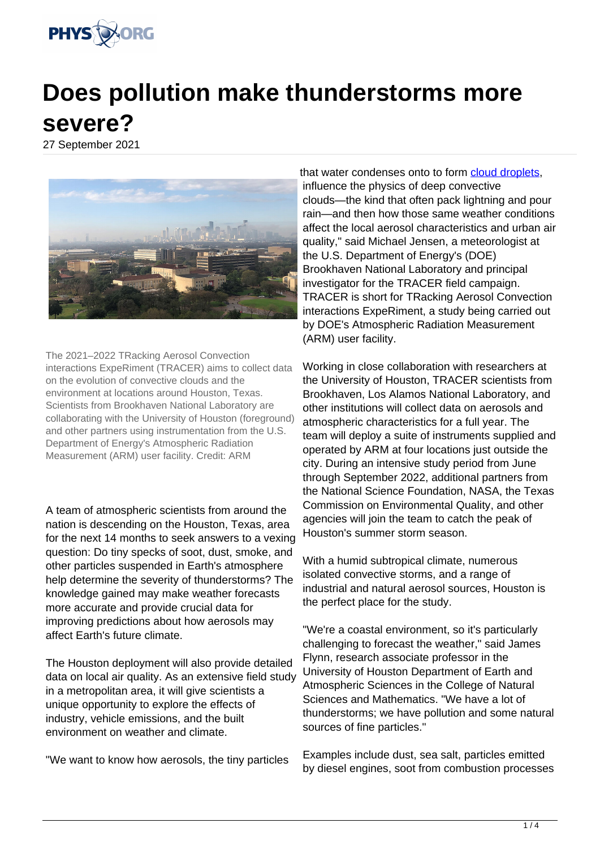

# **Does pollution make thunderstorms more severe?**

27 September 2021



The 2021–2022 TRacking Aerosol Convection interactions ExpeRiment (TRACER) aims to collect data on the evolution of convective clouds and the environment at locations around Houston, Texas. Scientists from Brookhaven National Laboratory are collaborating with the University of Houston (foreground) and other partners using instrumentation from the U.S. Department of Energy's Atmospheric Radiation Measurement (ARM) user facility. Credit: ARM

A team of atmospheric scientists from around the nation is descending on the Houston, Texas, area for the next 14 months to seek answers to a vexing question: Do tiny specks of soot, dust, smoke, and other particles suspended in Earth's atmosphere help determine the severity of thunderstorms? The knowledge gained may make weather forecasts more accurate and provide crucial data for improving predictions about how aerosols may affect Earth's future climate.

The Houston deployment will also provide detailed data on local air quality. As an extensive field study in a metropolitan area, it will give scientists a unique opportunity to explore the effects of industry, vehicle emissions, and the built environment on weather and climate.

"We want to know how aerosols, the tiny particles

that water condenses onto to form [cloud droplets](https://phys.org/tags/cloud+droplets/). influence the physics of deep convective clouds—the kind that often pack lightning and pour rain—and then how those same weather conditions affect the local aerosol characteristics and urban air quality," said Michael Jensen, a meteorologist at the U.S. Department of Energy's (DOE) Brookhaven National Laboratory and principal investigator for the TRACER field campaign. TRACER is short for TRacking Aerosol Convection interactions ExpeRiment, a study being carried out by DOE's Atmospheric Radiation Measurement (ARM) user facility.

Working in close collaboration with researchers at the University of Houston, TRACER scientists from Brookhaven, Los Alamos National Laboratory, and other institutions will collect data on aerosols and atmospheric characteristics for a full year. The team will deploy a suite of instruments supplied and operated by ARM at four locations just outside the city. During an intensive study period from June through September 2022, additional partners from the National Science Foundation, NASA, the Texas Commission on Environmental Quality, and other agencies will join the team to catch the peak of Houston's summer storm season.

With a humid subtropical climate, numerous isolated convective storms, and a range of industrial and natural aerosol sources, Houston is the perfect place for the study.

"We're a coastal environment, so it's particularly challenging to forecast the weather," said James Flynn, research associate professor in the University of Houston Department of Earth and Atmospheric Sciences in the College of Natural Sciences and Mathematics. "We have a lot of thunderstorms; we have pollution and some natural sources of fine particles."

Examples include dust, sea salt, particles emitted by diesel engines, soot from combustion processes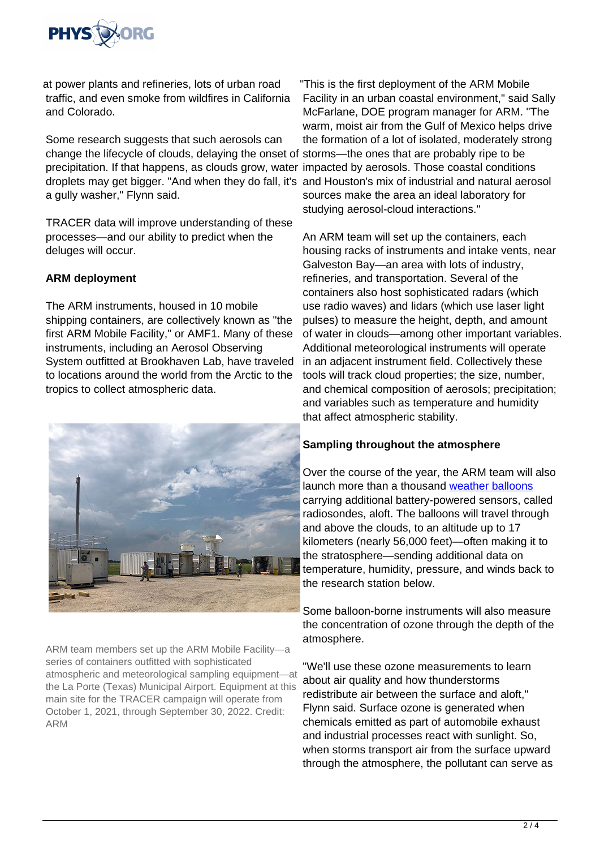

at power plants and refineries, lots of urban road traffic, and even smoke from wildfires in California and Colorado.

Some research suggests that such aerosols can change the lifecycle of clouds, delaying the onset of storms—the ones that are probably ripe to be precipitation. If that happens, as clouds grow, water impacted by aerosols. Those coastal conditions droplets may get bigger. "And when they do fall, it's and Houston's mix of industrial and natural aerosol a gully washer," Flynn said.

TRACER data will improve understanding of these processes—and our ability to predict when the deluges will occur.

# **ARM deployment**

The ARM instruments, housed in 10 mobile shipping containers, are collectively known as "the first ARM Mobile Facility," or AMF1. Many of these instruments, including an Aerosol Observing System outfitted at Brookhaven Lab, have traveled to locations around the world from the Arctic to the tropics to collect atmospheric data.



ARM team members set up the ARM Mobile Facility—a series of containers outfitted with sophisticated atmospheric and meteorological sampling equipment—at the La Porte (Texas) Municipal Airport. Equipment at this main site for the TRACER campaign will operate from October 1, 2021, through September 30, 2022. Credit: ARM

"This is the first deployment of the ARM Mobile Facility in an urban coastal environment," said Sally McFarlane, DOE program manager for ARM. "The warm, moist air from the Gulf of Mexico helps drive the formation of a lot of isolated, moderately strong sources make the area an ideal laboratory for studying aerosol-cloud interactions."

An ARM team will set up the containers, each housing racks of instruments and intake vents, near Galveston Bay—an area with lots of industry, refineries, and transportation. Several of the containers also host sophisticated radars (which use radio waves) and lidars (which use laser light pulses) to measure the height, depth, and amount of water in clouds—among other important variables. Additional meteorological instruments will operate in an adjacent instrument field. Collectively these tools will track cloud properties; the size, number, and chemical composition of aerosols; precipitation; and variables such as temperature and humidity that affect atmospheric stability.

# **Sampling throughout the atmosphere**

Over the course of the year, the ARM team will also launch more than a thousand [weather balloons](https://phys.org/tags/weather+balloons/) carrying additional battery-powered sensors, called radiosondes, aloft. The balloons will travel through and above the clouds, to an altitude up to 17 kilometers (nearly 56,000 feet)—often making it to the stratosphere—sending additional data on temperature, humidity, pressure, and winds back to the research station below.

Some balloon-borne instruments will also measure the concentration of ozone through the depth of the atmosphere.

"We'll use these ozone measurements to learn about air quality and how thunderstorms redistribute air between the surface and aloft," Flynn said. Surface ozone is generated when chemicals emitted as part of automobile exhaust and industrial processes react with sunlight. So, when storms transport air from the surface upward through the atmosphere, the pollutant can serve as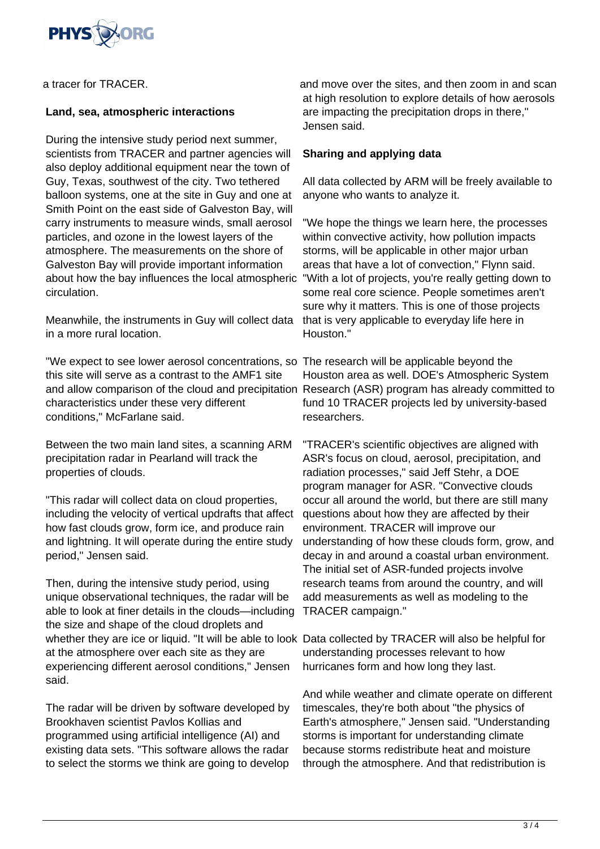

a tracer for TRACER.

### **Land, sea, atmospheric interactions**

During the intensive study period next summer, scientists from TRACER and partner agencies will also deploy additional equipment near the town of Guy, Texas, southwest of the city. Two tethered balloon systems, one at the site in Guy and one at Smith Point on the east side of Galveston Bay, will carry instruments to measure winds, small aerosol particles, and ozone in the lowest layers of the atmosphere. The measurements on the shore of Galveston Bay will provide important information about how the bay influences the local atmospheric circulation.

Meanwhile, the instruments in Guy will collect data in a more rural location.

"We expect to see lower aerosol concentrations, so The research will be applicable beyond the this site will serve as a contrast to the AMF1 site and allow comparison of the cloud and precipitation Research (ASR) program has already committed to characteristics under these very different conditions," McFarlane said.

Between the two main land sites, a scanning ARM precipitation radar in Pearland will track the properties of clouds.

"This radar will collect data on cloud properties, including the velocity of vertical updrafts that affect how fast clouds grow, form ice, and produce rain and lightning. It will operate during the entire study period," Jensen said.

Then, during the intensive study period, using unique observational techniques, the radar will be able to look at finer details in the clouds—including the size and shape of the cloud droplets and whether they are ice or liquid. "It will be able to look Data collected by TRACER will also be helpful for at the atmosphere over each site as they are experiencing different aerosol conditions," Jensen said.

The radar will be driven by software developed by Brookhaven scientist Pavlos Kollias and programmed using artificial intelligence (AI) and existing data sets. "This software allows the radar to select the storms we think are going to develop

and move over the sites, and then zoom in and scan at high resolution to explore details of how aerosols are impacting the precipitation drops in there," Jensen said.

### **Sharing and applying data**

All data collected by ARM will be freely available to anyone who wants to analyze it.

"We hope the things we learn here, the processes within convective activity, how pollution impacts storms, will be applicable in other major urban areas that have a lot of convection," Flynn said. "With a lot of projects, you're really getting down to some real core science. People sometimes aren't sure why it matters. This is one of those projects that is very applicable to everyday life here in Houston."

Houston area as well. DOE's Atmospheric System fund 10 TRACER projects led by university-based researchers.

"TRACER's scientific objectives are aligned with ASR's focus on cloud, aerosol, precipitation, and radiation processes," said Jeff Stehr, a DOE program manager for ASR. "Convective clouds occur all around the world, but there are still many questions about how they are affected by their environment. TRACER will improve our understanding of how these clouds form, grow, and decay in and around a coastal urban environment. The initial set of ASR-funded projects involve research teams from around the country, and will add measurements as well as modeling to the TRACER campaign."

understanding processes relevant to how hurricanes form and how long they last.

And while weather and climate operate on different timescales, they're both about "the physics of Earth's atmosphere," Jensen said. "Understanding storms is important for understanding climate because storms redistribute heat and moisture through the atmosphere. And that redistribution is